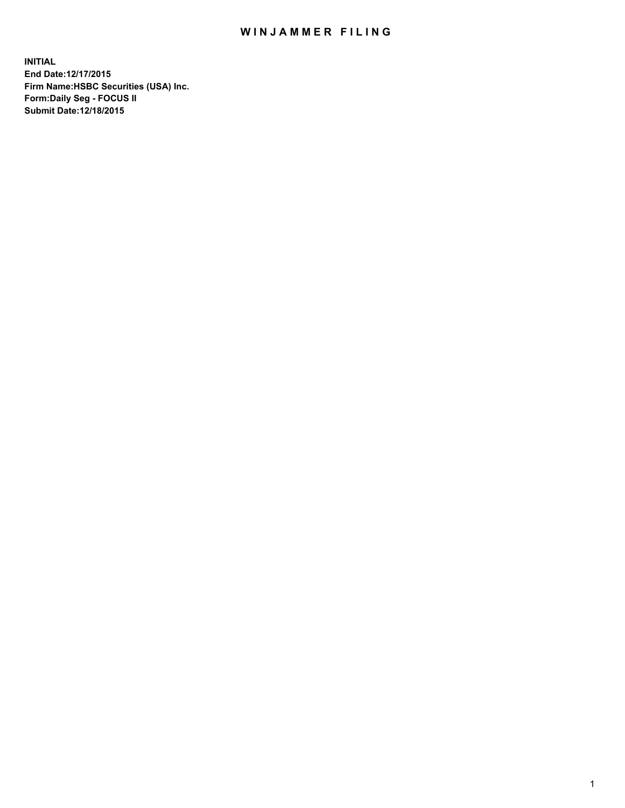# WIN JAMMER FILING

**INITIAL End Date:12/17/2015 Firm Name:HSBC Securities (USA) Inc. Form:Daily Seg - FOCUS II Submit Date:12/18/2015**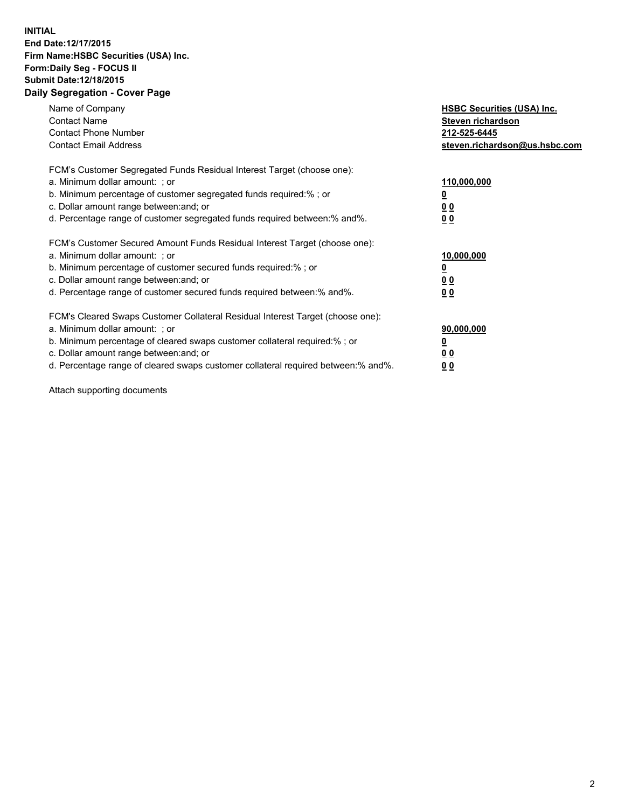## **INITIAL End Date:12/17/2015 Firm Name:HSBC Securities (USA) Inc. Form:Daily Seg - FOCUS II Submit Date:12/18/2015 Daily Segregation - Cover Page**

| Name of Company<br><b>Contact Name</b><br><b>Contact Phone Number</b><br><b>Contact Email Address</b>                                                                                                                                                                                                                         | <b>HSBC Securities (USA) Inc.</b><br>Steven richardson<br>212-525-6445<br>steven.richardson@us.hsbc.com |
|-------------------------------------------------------------------------------------------------------------------------------------------------------------------------------------------------------------------------------------------------------------------------------------------------------------------------------|---------------------------------------------------------------------------------------------------------|
| FCM's Customer Segregated Funds Residual Interest Target (choose one):<br>a. Minimum dollar amount: ; or<br>b. Minimum percentage of customer segregated funds required: % ; or<br>c. Dollar amount range between: and; or<br>d. Percentage range of customer segregated funds required between:% and%.                       | 110,000,000<br><u>0</u><br>0 <sub>0</sub><br>0 <sub>0</sub>                                             |
| FCM's Customer Secured Amount Funds Residual Interest Target (choose one):<br>a. Minimum dollar amount: ; or<br>b. Minimum percentage of customer secured funds required:%; or<br>c. Dollar amount range between: and; or<br>d. Percentage range of customer secured funds required between:% and%.                           | 10,000,000<br><u>0</u><br>0 <sub>0</sub><br>0 <sub>0</sub>                                              |
| FCM's Cleared Swaps Customer Collateral Residual Interest Target (choose one):<br>a. Minimum dollar amount: ; or<br>b. Minimum percentage of cleared swaps customer collateral required:%; or<br>c. Dollar amount range between: and; or<br>d. Percentage range of cleared swaps customer collateral required between:% and%. | 90,000,000<br><u>0</u><br>0 <sub>0</sub><br>0 <sub>0</sub>                                              |

Attach supporting documents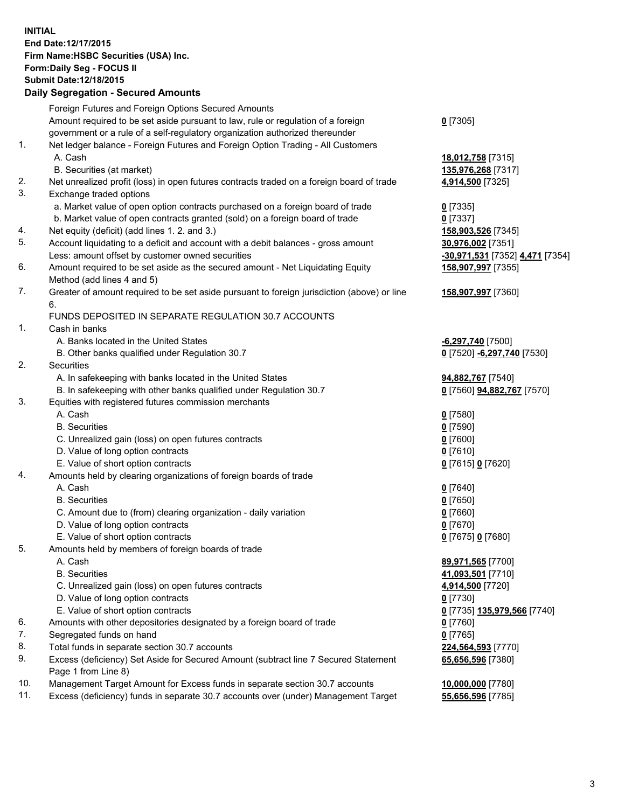**INITIAL End Date:12/17/2015 Firm Name:HSBC Securities (USA) Inc. Form:Daily Seg - FOCUS II Submit Date:12/18/2015 Daily Segregation - Secured Amounts**

# Foreign Futures and Foreign Options Secured Amounts

Amount required to be set aside pursuant to law, rule or regulation of a foreign

government or a rule of a self-regulatory organization authorized thereunder

#### 1. Net ledger balance - Foreign Futures and Foreign Option Trading - All Customers A. Cash **18,012,758** [7315]

- B. Securities (at market) **135,976,268** [7317]
- 2. Net unrealized profit (loss) in open futures contracts traded on a foreign board of trade **4,914,500** [7325]
- 3. Exchange traded options
	- a. Market value of open option contracts purchased on a foreign board of trade **0** [7335]
	- b. Market value of open contracts granted (sold) on a foreign board of trade **0** [7337]
- 4. Net equity (deficit) (add lines 1. 2. and 3.) **158,903,526** [7345]
- 5. Account liquidating to a deficit and account with a debit balances gross amount **30,976,002** [7351] Less: amount offset by customer owned securities **-30,971,531** [7352] **4,471** [7354]
- 6. Amount required to be set aside as the secured amount Net Liquidating Equity Method (add lines 4 and 5)
- 7. Greater of amount required to be set aside pursuant to foreign jurisdiction (above) or line 6.

## FUNDS DEPOSITED IN SEPARATE REGULATION 30.7 ACCOUNTS

- 1. Cash in banks
	- A. Banks located in the United States **-6,297,740** [7500]
	- B. Other banks qualified under Regulation 30.7 **0** [7520] **-6,297,740** [7530]
- 2. Securities
	- A. In safekeeping with banks located in the United States **94,882,767** [7540]
	- B. In safekeeping with other banks qualified under Regulation 30.7 **0** [7560] **94,882,767** [7570]
- 3. Equities with registered futures commission merchants
	- A. Cash **0** [7580]
		-
	- C. Unrealized gain (loss) on open futures contracts **0** [7600]
	- D. Value of long option contracts **0** [7610]
	- E. Value of short option contracts **0** [7615] **0** [7620]
- 4. Amounts held by clearing organizations of foreign boards of trade
	- A. Cash **0** [7640]
		-
	- C. Amount due to (from) clearing organization daily variation **0** [7660]
	- D. Value of long option contracts **0** [7670]
	- E. Value of short option contracts **0** [7675] **0** [7680]
- 5. Amounts held by members of foreign boards of trade
	-
	-
	- C. Unrealized gain (loss) on open futures contracts **4,914,500** [7720]
	- D. Value of long option contracts **0** [7730]
	- E. Value of short option contracts **0** [7735] **135,979,566** [7740]
- 6. Amounts with other depositories designated by a foreign board of trade **0** [7760]
- 7. Segregated funds on hand **0** [7765]
- 8. Total funds in separate section 30.7 accounts **224,564,593** [7770]
- 9. Excess (deficiency) Set Aside for Secured Amount (subtract line 7 Secured Statement Page 1 from Line 8)
- 10. Management Target Amount for Excess funds in separate section 30.7 accounts **10,000,000** [7780]
- 11. Excess (deficiency) funds in separate 30.7 accounts over (under) Management Target **55,656,596** [7785]

**158,907,997** [7355]

**158,907,997** [7360]

B. Securities **0** [7590]

B. Securities **0** [7650]

 A. Cash **89,971,565** [7700] B. Securities **41,093,501** [7710] **65,656,596** [7380]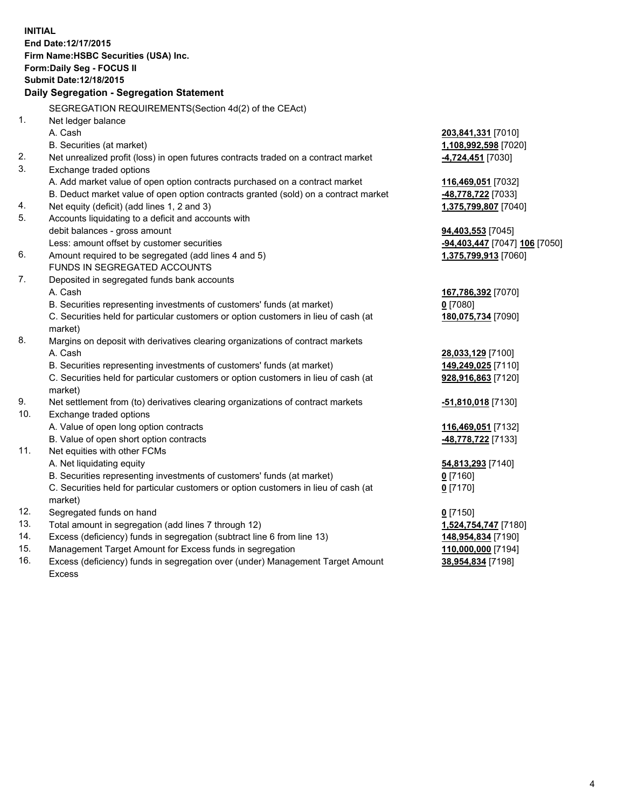| <b>INITIAL</b> | End Date: 12/17/2015<br>Firm Name: HSBC Securities (USA) Inc.<br>Form: Daily Seg - FOCUS II<br><b>Submit Date: 12/18/2015</b><br>Daily Segregation - Segregation Statement |                               |
|----------------|----------------------------------------------------------------------------------------------------------------------------------------------------------------------------|-------------------------------|
|                | SEGREGATION REQUIREMENTS(Section 4d(2) of the CEAct)                                                                                                                       |                               |
| 1.             | Net ledger balance                                                                                                                                                         |                               |
|                | A. Cash                                                                                                                                                                    | 203,841,331 [7010]            |
|                | B. Securities (at market)                                                                                                                                                  | 1,108,992,598 [7020]          |
| 2.             | Net unrealized profit (loss) in open futures contracts traded on a contract market                                                                                         | -4,724,451 [7030]             |
| 3.             | Exchange traded options                                                                                                                                                    |                               |
|                | A. Add market value of open option contracts purchased on a contract market                                                                                                | 116,469,051 [7032]            |
|                | B. Deduct market value of open option contracts granted (sold) on a contract market                                                                                        | 48,778,722 [7033]             |
| 4.             | Net equity (deficit) (add lines 1, 2 and 3)                                                                                                                                | 1,375,799,807 [7040]          |
| 5.             | Accounts liquidating to a deficit and accounts with                                                                                                                        |                               |
|                | debit balances - gross amount                                                                                                                                              | 94,403,553 [7045]             |
|                | Less: amount offset by customer securities                                                                                                                                 | -94,403,447 [7047] 106 [7050] |
| 6.             | Amount required to be segregated (add lines 4 and 5)                                                                                                                       | 1,375,799,913 [7060]          |
|                | FUNDS IN SEGREGATED ACCOUNTS                                                                                                                                               |                               |
| 7.             | Deposited in segregated funds bank accounts                                                                                                                                |                               |
|                | A. Cash                                                                                                                                                                    | 167,786,392 [7070]            |
|                | B. Securities representing investments of customers' funds (at market)                                                                                                     | $0$ [7080]                    |
|                | C. Securities held for particular customers or option customers in lieu of cash (at<br>market)                                                                             | 180,075,734 [7090]            |
| 8.             | Margins on deposit with derivatives clearing organizations of contract markets                                                                                             |                               |
|                | A. Cash                                                                                                                                                                    | 28,033,129 [7100]             |
|                | B. Securities representing investments of customers' funds (at market)                                                                                                     | 149,249,025 [7110]            |
|                | C. Securities held for particular customers or option customers in lieu of cash (at<br>market)                                                                             | 928,916,863 [7120]            |
| 9.             | Net settlement from (to) derivatives clearing organizations of contract markets                                                                                            | -51,810,018 [7130]            |
| 10.            | Exchange traded options                                                                                                                                                    |                               |
|                | A. Value of open long option contracts                                                                                                                                     | 116,469,051 [7132]            |
|                | B. Value of open short option contracts                                                                                                                                    | 48,778,722 [7133]             |
| 11.            | Net equities with other FCMs                                                                                                                                               |                               |
|                | A. Net liquidating equity                                                                                                                                                  | 54,813,293 [7140]             |
|                | B. Securities representing investments of customers' funds (at market)                                                                                                     | $0$ [7160]                    |
|                | C. Securities held for particular customers or option customers in lieu of cash (at                                                                                        | $0$ [7170]                    |
|                | market)                                                                                                                                                                    |                               |
| 12.            | Segregated funds on hand                                                                                                                                                   | $0$ [7150]                    |
| 13.            | Total amount in segregation (add lines 7 through 12)                                                                                                                       | 1,524,754,747 [7180]          |
| 14.            | Excess (deficiency) funds in segregation (subtract line 6 from line 13)                                                                                                    | 148,954,834 [7190]            |
| 15.            | Management Target Amount for Excess funds in segregation                                                                                                                   | 110,000,000 [7194]            |

16. Excess (deficiency) funds in segregation over (under) Management Target Amount Excess

**38,954,834** [7198]